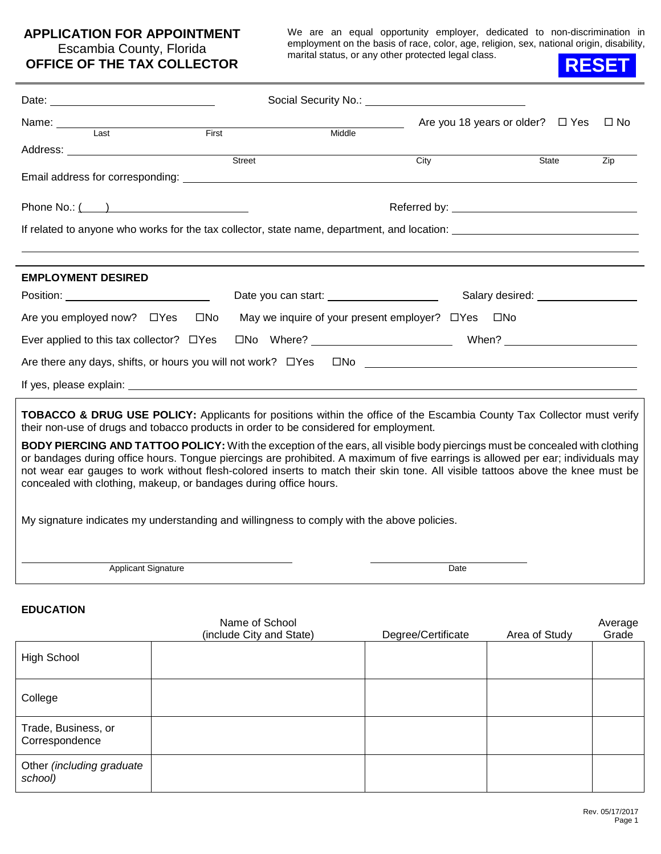# **APPLICATION FOR APPOINTMENT** Escambia County, Florida **OFFICE OF THE TAX COLLECTOR**

We are an equal opportunity employer, dedicated to non-discrimination in employment on the basis of race, color, age, religion, sex, national origin, disability, marital status, or any other protected legal class.

**RESET**

| Date: the contract of the contract of the contract of the contract of the contract of the contract of the contract of the contract of the contract of the contract of the contract of the contract of the contract of the cont |              | Social Security No.: _______________                                                                                                                                                                                                                                                                                                                                                                     |                                       |     |              |
|--------------------------------------------------------------------------------------------------------------------------------------------------------------------------------------------------------------------------------|--------------|----------------------------------------------------------------------------------------------------------------------------------------------------------------------------------------------------------------------------------------------------------------------------------------------------------------------------------------------------------------------------------------------------------|---------------------------------------|-----|--------------|
| Name: _________                                                                                                                                                                                                                |              |                                                                                                                                                                                                                                                                                                                                                                                                          | Are you 18 years or older? $\Box$ Yes |     | $\square$ No |
| Last                                                                                                                                                                                                                           | First        | Middle                                                                                                                                                                                                                                                                                                                                                                                                   |                                       |     |              |
|                                                                                                                                                                                                                                | Street       | City                                                                                                                                                                                                                                                                                                                                                                                                     | State                                 | Zip |              |
|                                                                                                                                                                                                                                |              |                                                                                                                                                                                                                                                                                                                                                                                                          |                                       |     |              |
| Phone No.: $($ $)$                                                                                                                                                                                                             |              |                                                                                                                                                                                                                                                                                                                                                                                                          |                                       |     |              |
|                                                                                                                                                                                                                                |              |                                                                                                                                                                                                                                                                                                                                                                                                          |                                       |     |              |
|                                                                                                                                                                                                                                |              |                                                                                                                                                                                                                                                                                                                                                                                                          |                                       |     |              |
|                                                                                                                                                                                                                                |              |                                                                                                                                                                                                                                                                                                                                                                                                          |                                       |     |              |
| <b>EMPLOYMENT DESIRED</b>                                                                                                                                                                                                      |              |                                                                                                                                                                                                                                                                                                                                                                                                          |                                       |     |              |
|                                                                                                                                                                                                                                |              |                                                                                                                                                                                                                                                                                                                                                                                                          |                                       |     |              |
| Are you employed now? □ Yes                                                                                                                                                                                                    | $\square$ No | May we inquire of your present employer? □ Yes □ No                                                                                                                                                                                                                                                                                                                                                      |                                       |     |              |
|                                                                                                                                                                                                                                |              |                                                                                                                                                                                                                                                                                                                                                                                                          |                                       |     |              |
|                                                                                                                                                                                                                                |              | Are there any days, shifts, or hours you will not work? $\square$ Yes $\square$ No $\square$                                                                                                                                                                                                                                                                                                             |                                       |     |              |
|                                                                                                                                                                                                                                |              |                                                                                                                                                                                                                                                                                                                                                                                                          |                                       |     |              |
|                                                                                                                                                                                                                                |              | TOBACCO & DRUG USE POLICY: Applicants for positions within the office of the Escambia County Tax Collector must verify<br>their non-use of drugs and tobacco products in order to be considered for employment.                                                                                                                                                                                          |                                       |     |              |
| concealed with clothing, makeup, or bandages during office hours.                                                                                                                                                              |              | <b>BODY PIERCING AND TATTOO POLICY:</b> With the exception of the ears, all visible body piercings must be concealed with clothing<br>or bandages during office hours. Tongue piercings are prohibited. A maximum of five earrings is allowed per ear; individuals may<br>not wear ear gauges to work without flesh-colored inserts to match their skin tone. All visible tattoos above the knee must be |                                       |     |              |
|                                                                                                                                                                                                                                |              | My signature indicates my understanding and willingness to comply with the above policies.                                                                                                                                                                                                                                                                                                               |                                       |     |              |
| Applicant Signature                                                                                                                                                                                                            |              |                                                                                                                                                                                                                                                                                                                                                                                                          | Date                                  |     |              |
|                                                                                                                                                                                                                                |              |                                                                                                                                                                                                                                                                                                                                                                                                          |                                       |     |              |

### **EDUCATION**

|                                       | Name of School<br>(include City and State) | Degree/Certificate | Area of Study | Average<br>Grade |
|---------------------------------------|--------------------------------------------|--------------------|---------------|------------------|
| <b>High School</b>                    |                                            |                    |               |                  |
| College                               |                                            |                    |               |                  |
| Trade, Business, or<br>Correspondence |                                            |                    |               |                  |
| Other (including graduate<br>school)  |                                            |                    |               |                  |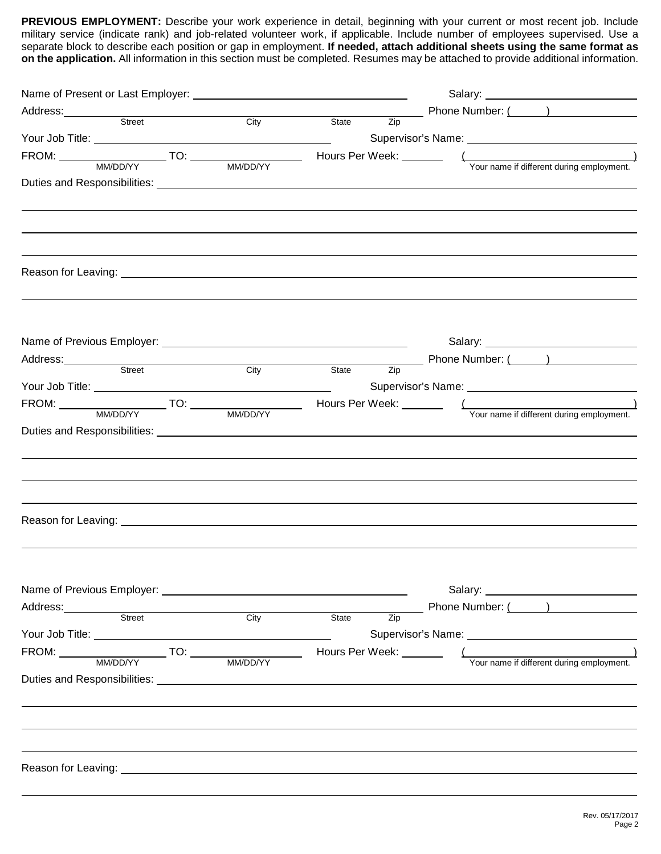PREVIOUS EMPLOYMENT: Describe your work experience in detail, beginning with your current or most recent job. Include military service (indicate rank) and job-related volunteer work, if applicable. Include number of employees supervised. Use a separate block to describe each position or gap in employment. **If needed, attach additional sheets using the same format as on the application.** All information in this section must be completed. Resumes may be attached to provide additional information.

| Address:<br>Street           |          | State Zip               | Phone Number: ( ) |                                           |
|------------------------------|----------|-------------------------|-------------------|-------------------------------------------|
|                              | City     |                         |                   |                                           |
|                              |          |                         |                   |                                           |
|                              |          |                         |                   |                                           |
|                              |          |                         |                   |                                           |
|                              |          |                         |                   |                                           |
|                              |          |                         |                   |                                           |
|                              |          |                         |                   |                                           |
|                              |          |                         |                   |                                           |
|                              |          |                         |                   |                                           |
|                              |          |                         |                   |                                           |
|                              |          |                         |                   |                                           |
|                              |          |                         |                   |                                           |
|                              |          |                         |                   |                                           |
|                              |          |                         |                   |                                           |
|                              |          |                         | Phone Number: ( ) |                                           |
| Address: Street              | City     | State<br>Zip            |                   |                                           |
|                              |          |                         |                   |                                           |
|                              |          | Hours Per Week: _______ |                   |                                           |
| MM/DD/YY                     | MM/DD/YY |                         |                   | Your name if different during employment. |
|                              |          |                         |                   |                                           |
|                              |          |                         |                   |                                           |
|                              |          |                         |                   |                                           |
|                              |          |                         |                   |                                           |
|                              |          |                         |                   |                                           |
|                              |          |                         |                   |                                           |
|                              |          |                         |                   |                                           |
|                              |          |                         |                   |                                           |
|                              |          |                         |                   |                                           |
|                              |          |                         |                   |                                           |
|                              |          |                         |                   |                                           |
| Address:__________<br>Street | City     | Zip<br>State            | Phone Number: ( ) |                                           |
|                              |          |                         |                   |                                           |
|                              |          |                         |                   |                                           |
| FROM: MM/DD/YY TO: MM/DD/YY  |          | Hours Per Week: _______ |                   | Your name if different during employment. |
|                              |          |                         |                   |                                           |
|                              |          |                         |                   |                                           |
|                              |          |                         |                   |                                           |
|                              |          |                         |                   |                                           |
|                              |          |                         |                   |                                           |
|                              |          |                         |                   |                                           |
|                              |          |                         |                   |                                           |
|                              |          |                         |                   |                                           |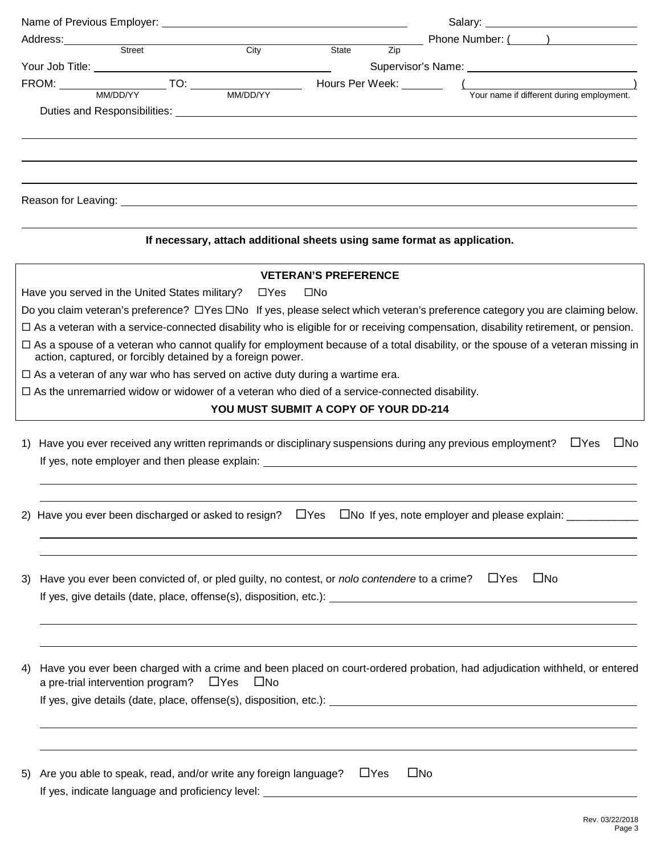|     | Phone Number: ( )                                                                                                                         |
|-----|-------------------------------------------------------------------------------------------------------------------------------------------|
|     | Street<br>State<br>City<br>Zip                                                                                                            |
|     |                                                                                                                                           |
|     | Your name if different during employment.                                                                                                 |
|     |                                                                                                                                           |
|     |                                                                                                                                           |
|     |                                                                                                                                           |
|     |                                                                                                                                           |
|     |                                                                                                                                           |
|     |                                                                                                                                           |
|     |                                                                                                                                           |
|     | If necessary, attach additional sheets using same format as application.                                                                  |
|     | <b>VETERAN'S PREFERENCE</b>                                                                                                               |
|     | Have you served in the United States military?<br>$\square$ Yes<br>⊟No                                                                    |
|     | Do you claim veteran's preference? □Yes □No If yes, please select which veteran's preference category you are claiming below.             |
|     | $\Box$ As a veteran with a service-connected disability who is eligible for or receiving compensation, disability retirement, or pension. |
|     | $\Box$ As a spouse of a veteran who cannot qualify for employment because of a total disability, or the spouse of a veteran missing in    |
|     | action, captured, or forcibly detained by a foreign power.                                                                                |
|     | $\Box$ As a veteran of any war who has served on active duty during a wartime era.                                                        |
|     | $\Box$ As the unremarried widow or widower of a veteran who died of a service-connected disability.                                       |
|     | YOU MUST SUBMIT A COPY OF YOUR DD-214                                                                                                     |
|     |                                                                                                                                           |
| 1)  | Have you ever received any written reprimands or disciplinary suspensions during any previous employment?<br>$\square$ No<br>$L$ Yes      |
|     |                                                                                                                                           |
|     |                                                                                                                                           |
|     |                                                                                                                                           |
| (2) |                                                                                                                                           |
|     |                                                                                                                                           |
|     |                                                                                                                                           |
|     |                                                                                                                                           |
| 3)  | $\square$ No<br>Have you ever been convicted of, or pled guilty, no contest, or nolo contendere to a crime? $\Box$ Yes                    |
|     |                                                                                                                                           |
|     |                                                                                                                                           |
|     |                                                                                                                                           |
|     |                                                                                                                                           |
| 4)  | Have you ever been charged with a crime and been placed on court-ordered probation, had adjudication withheld, or entered                 |
|     | a pre-trial intervention program? $\Box$ Yes<br>$\Box$ No                                                                                 |
|     |                                                                                                                                           |
|     |                                                                                                                                           |
|     |                                                                                                                                           |
|     |                                                                                                                                           |
| 5)  | $\Box$ Yes<br>$\square$ No<br>Are you able to speak, read, and/or write any foreign language?                                             |
|     | If yes, indicate language and proficiency level: _______________________________                                                          |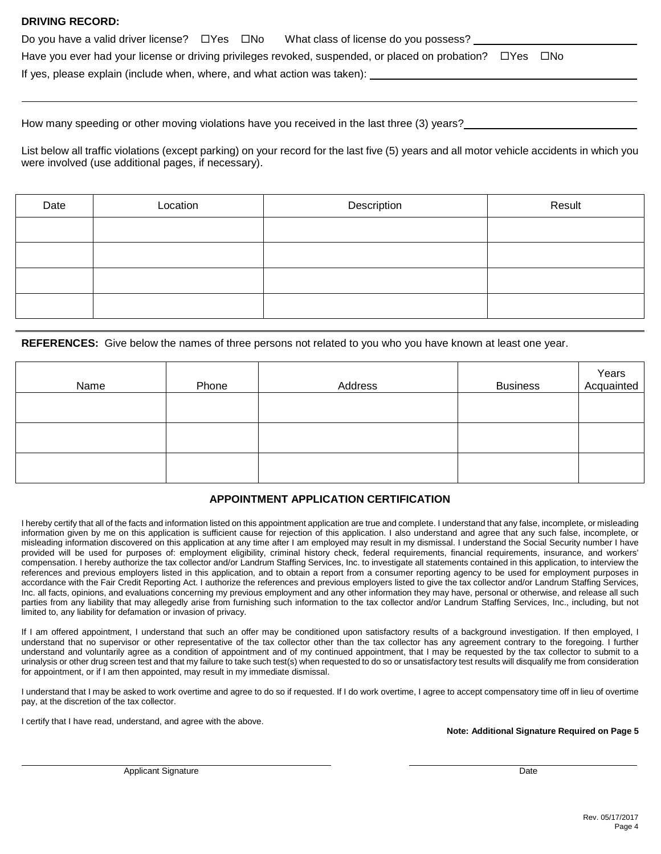#### **DRIVING RECORD:**

| Do you have a valid driver license? $\Box$ Yes $\Box$ No                 |  | What class of license do you possess?                                                                                          |  |
|--------------------------------------------------------------------------|--|--------------------------------------------------------------------------------------------------------------------------------|--|
|                                                                          |  | Have you ever had your license or driving privileges revoked, suspended, or placed on probation?<br>$\square$ Yes $\square$ No |  |
| If yes, please explain (include when, where, and what action was taken): |  |                                                                                                                                |  |

How many speeding or other moving violations have you received in the last three (3) years?

List below all traffic violations (except parking) on your record for the last five (5) years and all motor vehicle accidents in which you were involved (use additional pages, if necessary).

| Date | Location | Description | Result |
|------|----------|-------------|--------|
|      |          |             |        |
|      |          |             |        |
|      |          |             |        |
|      |          |             |        |

**REFERENCES:** Give below the names of three persons not related to you who you have known at least one year.

| Name | Phone | Address | <b>Business</b> | Years<br>Acquainted |
|------|-------|---------|-----------------|---------------------|
|      |       |         |                 |                     |
|      |       |         |                 |                     |
|      |       |         |                 |                     |

### **APPOINTMENT APPLICATION CERTIFICATION**

I hereby certify that all of the facts and information listed on this appointment application are true and complete. I understand that any false, incomplete, or misleading information given by me on this application is sufficient cause for rejection of this application. I also understand and agree that any such false, incomplete, or misleading information discovered on this application at any time after I am employed may result in my dismissal. I understand the Social Security number I have provided will be used for purposes of: employment eligibility, criminal history check, federal requirements, financial requirements, insurance, and workers' compensation. I hereby authorize the tax collector and/or Landrum Staffing Services, Inc. to investigate all statements contained in this application, to interview the references and previous employers listed in this application, and to obtain a report from a consumer reporting agency to be used for employment purposes in accordance with the Fair Credit Reporting Act. I authorize the references and previous employers listed to give the tax collector and/or Landrum Staffing Services, Inc. all facts, opinions, and evaluations concerning my previous employment and any other information they may have, personal or otherwise, and release all such parties from any liability that may allegedly arise from furnishing such information to the tax collector and/or Landrum Staffing Services, Inc., including, but not limited to, any liability for defamation or invasion of privacy.

If I am offered appointment, I understand that such an offer may be conditioned upon satisfactory results of a background investigation. If then employed, I understand that no supervisor or other representative of the tax collector other than the tax collector has any agreement contrary to the foregoing. I further understand and voluntarily agree as a condition of appointment and of my continued appointment, that I may be requested by the tax collector to submit to a urinalysis or other drug screen test and that my failure to take such test(s) when requested to do so or unsatisfactory test results will disqualify me from consideration for appointment, or if I am then appointed, may result in my immediate dismissal.

I understand that I may be asked to work overtime and agree to do so if requested. If I do work overtime, I agree to accept compensatory time off in lieu of overtime pay, at the discretion of the tax collector.

I certify that I have read, understand, and agree with the above.

**Note: Additional Signature Required on Page 5**

Applicant Signature Date **Date of Applicant Signature** Date Date of Applicant Signature Date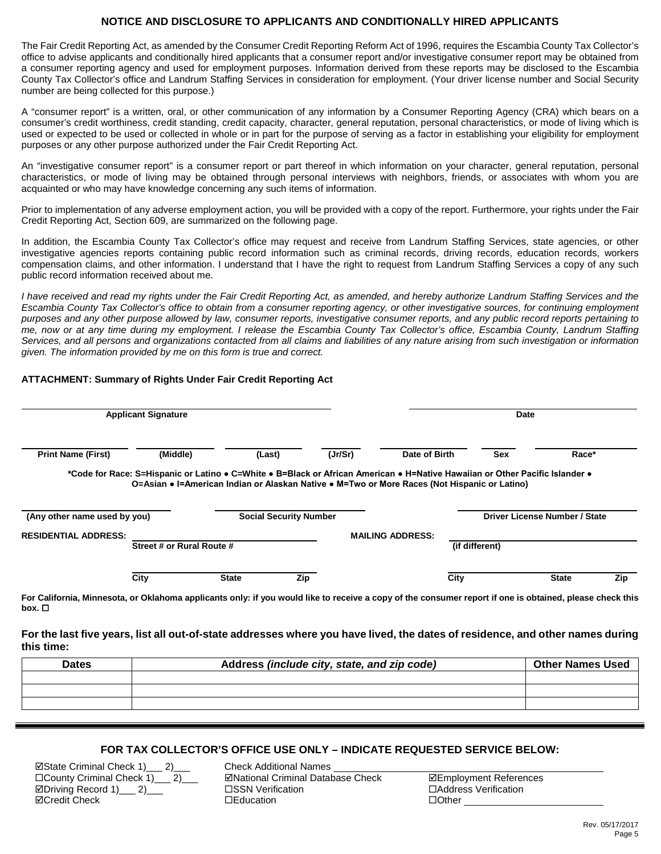### **NOTICE AND DISCLOSURE TO APPLICANTS AND CONDITIONALLY HIRED APPLICANTS**

The Fair Credit Reporting Act, as amended by the Consumer Credit Reporting Reform Act of 1996, requires the Escambia County Tax Collector's office to advise applicants and conditionally hired applicants that a consumer report and/or investigative consumer report may be obtained from a consumer reporting agency and used for employment purposes. Information derived from these reports may be disclosed to the Escambia County Tax Collector's office and Landrum Staffing Services in consideration for employment. (Your driver license number and Social Security number are being collected for this purpose.)

A "consumer report" is a written, oral, or other communication of any information by a Consumer Reporting Agency (CRA) which bears on a consumer's credit worthiness, credit standing, credit capacity, character, general reputation, personal characteristics, or mode of living which is used or expected to be used or collected in whole or in part for the purpose of serving as a factor in establishing your eligibility for employment purposes or any other purpose authorized under the Fair Credit Reporting Act.

An "investigative consumer report" is a consumer report or part thereof in which information on your character, general reputation, personal characteristics, or mode of living may be obtained through personal interviews with neighbors, friends, or associates with whom you are acquainted or who may have knowledge concerning any such items of information.

Prior to implementation of any adverse employment action, you will be provided with a copy of the report. Furthermore, your rights under the Fair Credit Reporting Act, Section 609, are summarized on the following page.

In addition, the Escambia County Tax Collector's office may request and receive from Landrum Staffing Services, state agencies, or other investigative agencies reports containing public record information such as criminal records, driving records, education records, workers compensation claims, and other information. I understand that I have the right to request from Landrum Staffing Services a copy of any such public record information received about me.

*I have received and read my rights under the Fair Credit Reporting Act, as amended, and hereby authorize Landrum Staffing Services and the Escambia County Tax Collector's office to obtain from a consumer reporting agency, or other investigative sources, for continuing employment purposes and any other purpose allowed by law, consumer reports, investigative consumer reports, and any public record reports pertaining to me, now or at any time during my employment. I release the Escambia County Tax Collector's office, Escambia County, Landrum Staffing Services, and all persons and organizations contacted from all claims and liabilities of any nature arising from such investigation or information given. The information provided by me on this form is true and correct.*

#### **ATTACHMENT: Summary of Rights Under Fair Credit Reporting Act**

|                              | <b>Applicant Signature</b> |                                                                                                                              |         |                                                                                              | Date           |                               |
|------------------------------|----------------------------|------------------------------------------------------------------------------------------------------------------------------|---------|----------------------------------------------------------------------------------------------|----------------|-------------------------------|
| <b>Print Name (First)</b>    | (Middle)                   | (Last)                                                                                                                       | (Jr/Sr) | Date of Birth                                                                                | <b>Sex</b>     | Race*                         |
|                              |                            | *Code for Race: S=Hispanic or Latino • C=White • B=Black or African American • H=Native Hawaiian or Other Pacific Islander • |         | O=Asian • I=American Indian or Alaskan Native • M=Two or More Races (Not Hispanic or Latino) |                |                               |
|                              |                            |                                                                                                                              |         |                                                                                              |                |                               |
| (Any other name used by you) |                            | <b>Social Security Number</b>                                                                                                |         |                                                                                              |                | Driver License Number / State |
| <b>RESIDENTIAL ADDRESS:</b>  | Street # or Rural Route #  |                                                                                                                              |         | <b>MAILING ADDRESS:</b>                                                                      | (if different) |                               |

**For the last five years, list all out-of-state addresses where you have lived, the dates of residence, and other names during this time:**

### **FOR TAX COLLECTOR'S OFFICE USE ONLY – INDICATE REQUESTED SERVICE BELOW:**

**ØState Criminal Check 1)\_\_\_ 2)\_\_\_ Check Additional Names \_\_\_ Constrained Criminal Database Check 41**<br>□ County Criminal Check 1) 2) **ØNational Criminal Database Check**  $\Box$ County Criminal Check  $\overline{1) \quad 2) \quad \Box}$   $\Box$  Mational Criminal Database Check  $\Box$  Employment References  $\Box$  Dissn Verification  $\Box$  Address Verification Driving Record 1)\_\_\_ 2)\_\_\_ SSN Verification Address Verification **Execution Check**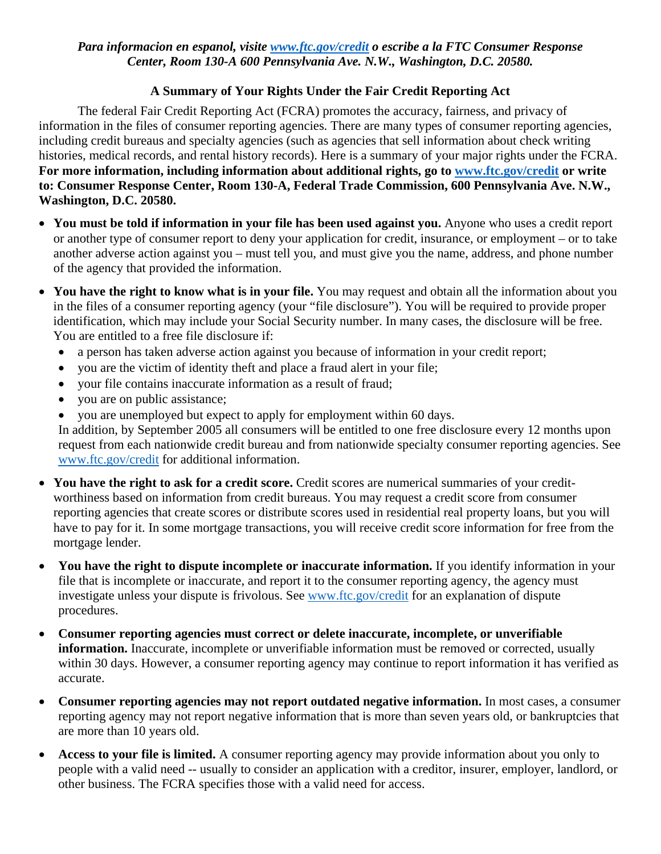## *Para informacion en espanol, visite www.ftc.gov/credit o escribe a la FTC Consumer Response Center, Room 130-A 600 Pennsylvania Ave. N.W., Washington, D.C. 20580.*

# **A Summary of Your Rights Under the Fair Credit Reporting Act**

The federal Fair Credit Reporting Act (FCRA) promotes the accuracy, fairness, and privacy of information in the files of consumer reporting agencies. There are many types of consumer reporting agencies, including credit bureaus and specialty agencies (such as agencies that sell information about check writing histories, medical records, and rental history records). Here is a summary of your major rights under the FCRA. **For more information, including information about additional rights, go to www.ftc.gov/credit or write to: Consumer Response Center, Room 130-A, Federal Trade Commission, 600 Pennsylvania Ave. N.W., Washington, D.C. 20580.** 

- You must be told if information in your file has been used against you. Anyone who uses a credit report or another type of consumer report to deny your application for credit, insurance, or employment – or to take another adverse action against you – must tell you, and must give you the name, address, and phone number of the agency that provided the information.
- **You have the right to know what is in your file.** You may request and obtain all the information about you in the files of a consumer reporting agency (your "file disclosure"). You will be required to provide proper identification, which may include your Social Security number. In many cases, the disclosure will be free. You are entitled to a free file disclosure if:
	- a person has taken adverse action against you because of information in your credit report;
	- you are the victim of identity theft and place a fraud alert in your file;
	- your file contains inaccurate information as a result of fraud;
	- you are on public assistance;
	- you are unemployed but expect to apply for employment within 60 days.

In addition, by September 2005 all consumers will be entitled to one free disclosure every 12 months upon request from each nationwide credit bureau and from nationwide specialty consumer reporting agencies. See www.ftc.gov/credit for additional information.

- You have the right to ask for a credit score. Credit scores are numerical summaries of your creditworthiness based on information from credit bureaus. You may request a credit score from consumer reporting agencies that create scores or distribute scores used in residential real property loans, but you will have to pay for it. In some mortgage transactions, you will receive credit score information for free from the mortgage lender.
- **You have the right to dispute incomplete or inaccurate information.** If you identify information in your file that is incomplete or inaccurate, and report it to the consumer reporting agency, the agency must investigate unless your dispute is frivolous. See www.ftc.gov/credit for an explanation of dispute procedures.
- **Consumer reporting agencies must correct or delete inaccurate, incomplete, or unverifiable information.** Inaccurate, incomplete or unverifiable information must be removed or corrected, usually within 30 days. However, a consumer reporting agency may continue to report information it has verified as accurate.
- **Consumer reporting agencies may not report outdated negative information.** In most cases, a consumer reporting agency may not report negative information that is more than seven years old, or bankruptcies that are more than 10 years old.
- **Access to your file is limited.** A consumer reporting agency may provide information about you only to people with a valid need -- usually to consider an application with a creditor, insurer, employer, landlord, or other business. The FCRA specifies those with a valid need for access.